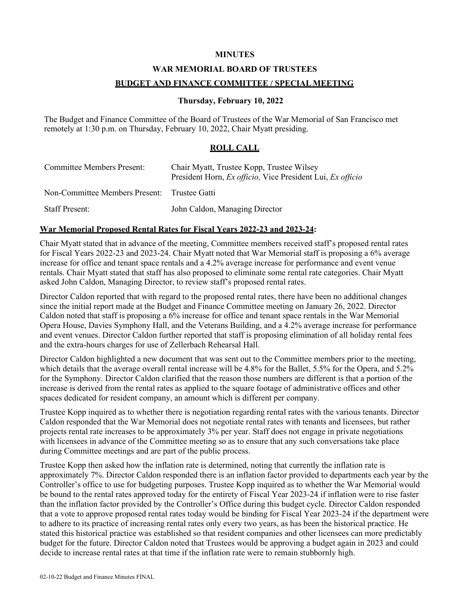# **MINUTES**

# **WAR MEMORIAL BOARD OF TRUSTEES**

# **BUDGET AND FINANCE COMMITTEE / SPECIAL MEETING**

# **Thursday, February 10, 2022**

The Budget and Finance Committee of the Board of Trustees of the War Memorial of San Francisco met remotely at 1:30 p.m. on Thursday, February 10, 2022, Chair Myatt presiding.

# **ROLL CALL**

| Committee Members Present:                   | Chair Myatt, Trustee Kopp, Trustee Wilsey<br>President Horn, Ex officio, Vice President Lui, Ex officio |
|----------------------------------------------|---------------------------------------------------------------------------------------------------------|
| Non-Committee Members Present: Trustee Gatti |                                                                                                         |
| <b>Staff Present:</b>                        | John Caldon, Managing Director                                                                          |

#### **War Memorial Proposed Rental Rates for Fiscal Years 2022-23 and 2023-24:**

Chair Myatt stated that in advance of the meeting, Committee members received staff's proposed rental rates for Fiscal Years 2022-23 and 2023-24. Chair Myatt noted that War Memorial staff is proposing a 6% average increase for office and tenant space rentals and a 4.2% average increase for performance and event venue rentals. Chair Myatt stated that staff has also proposed to eliminate some rental rate categories. Chair Myatt asked John Caldon, Managing Director, to review staff's proposed rental rates.

Director Caldon reported that with regard to the proposed rental rates, there have been no additional changes since the initial report made at the Budget and Finance Committee meeting on January 26, 2022. Director Caldon noted that staff is proposing a 6% increase for office and tenant space rentals in the War Memorial Opera House, Davies Symphony Hall, and the Veterans Building, and a 4.2% average increase for performance and event venues. Director Caldon further reported that staff is proposing elimination of all holiday rental fees and the extra-hours charges for use of Zellerbach Rehearsal Hall.

Director Caldon highlighted a new document that was sent out to the Committee members prior to the meeting, which details that the average overall rental increase will be 4.8% for the Ballet, 5.5% for the Opera, and 5.2% for the Symphony. Director Caldon clarified that the reason those numbers are different is that a portion of the increase is derived from the rental rates as applied to the square footage of administrative offices and other spaces dedicated for resident company, an amount which is different per company.

Trustee Kopp inquired as to whether there is negotiation regarding rental rates with the various tenants. Director Caldon responded that the War Memorial does not negotiate rental rates with tenants and licensees, but rather projects rental rate increases to be approximately 3% per year. Staff does not engage in private negotiations with licensees in advance of the Committee meeting so as to ensure that any such conversations take place during Committee meetings and are part of the public process.

Trustee Kopp then asked how the inflation rate is determined, noting that currently the inflation rate is approximately 7%. Director Caldon responded there is an inflation factor provided to departments each year by the Controller's office to use for budgeting purposes. Trustee Kopp inquired as to whether the War Memorial would be bound to the rental rates approved today for the entirety of Fiscal Year 2023-24 if inflation were to rise faster than the inflation factor provided by the Controller's Office during this budget cycle. Director Caldon responded that a vote to approve proposed rental rates today would be binding for Fiscal Year 2023-24 if the department were to adhere to its practice of increasing rental rates only every two years, as has been the historical practice. He stated this historical practice was established so that resident companies and other licensees can more predictably budget for the future. Director Caldon noted that Trustees would be approving a budget again in 2023 and could decide to increase rental rates at that time if the inflation rate were to remain stubbornly high.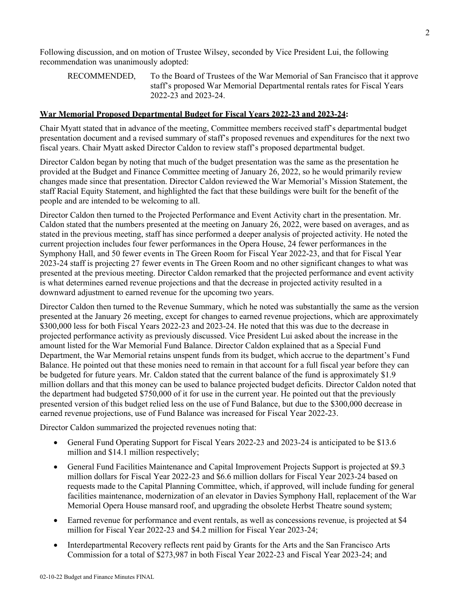Following discussion, and on motion of Trustee Wilsey, seconded by Vice President Lui, the following recommendation was unanimously adopted:

#### **War Memorial Proposed Departmental Budget for Fiscal Years 2022-23 and 2023-24:**

Chair Myatt stated that in advance of the meeting, Committee members received staff's departmental budget presentation document and a revised summary of staff's proposed revenues and expenditures for the next two fiscal years. Chair Myatt asked Director Caldon to review staff's proposed departmental budget.

Director Caldon began by noting that much of the budget presentation was the same as the presentation he provided at the Budget and Finance Committee meeting of January 26, 2022, so he would primarily review changes made since that presentation. Director Caldon reviewed the War Memorial's Mission Statement, the staff Racial Equity Statement, and highlighted the fact that these buildings were built for the benefit of the people and are intended to be welcoming to all.

Director Caldon then turned to the Projected Performance and Event Activity chart in the presentation. Mr. Caldon stated that the numbers presented at the meeting on January 26, 2022, were based on averages, and as stated in the previous meeting, staff has since performed a deeper analysis of projected activity. He noted the current projection includes four fewer performances in the Opera House, 24 fewer performances in the Symphony Hall, and 50 fewer events in The Green Room for Fiscal Year 2022-23, and that for Fiscal Year 2023-24 staff is projecting 27 fewer events in The Green Room and no other significant changes to what was presented at the previous meeting. Director Caldon remarked that the projected performance and event activity is what determines earned revenue projections and that the decrease in projected activity resulted in a downward adjustment to earned revenue for the upcoming two years.

Director Caldon then turned to the Revenue Summary, which he noted was substantially the same as the version presented at the January 26 meeting, except for changes to earned revenue projections, which are approximately \$300,000 less for both Fiscal Years 2022-23 and 2023-24. He noted that this was due to the decrease in projected performance activity as previously discussed. Vice President Lui asked about the increase in the amount listed for the War Memorial Fund Balance. Director Caldon explained that as a Special Fund Department, the War Memorial retains unspent funds from its budget, which accrue to the department's Fund Balance. He pointed out that these monies need to remain in that account for a full fiscal year before they can be budgeted for future years. Mr. Caldon stated that the current balance of the fund is approximately \$1.9 million dollars and that this money can be used to balance projected budget deficits. Director Caldon noted that the department had budgeted \$750,000 of it for use in the current year. He pointed out that the previously presented version of this budget relied less on the use of Fund Balance, but due to the \$300,000 decrease in earned revenue projections, use of Fund Balance was increased for Fiscal Year 2022-23.

Director Caldon summarized the projected revenues noting that:

- General Fund Operating Support for Fiscal Years 2022-23 and 2023-24 is anticipated to be \$13.6 million and \$14.1 million respectively;
- General Fund Facilities Maintenance and Capital Improvement Projects Support is projected at \$9.3 million dollars for Fiscal Year 2022-23 and \$6.6 million dollars for Fiscal Year 2023-24 based on requests made to the Capital Planning Committee, which, if approved, will include funding for general facilities maintenance, modernization of an elevator in Davies Symphony Hall, replacement of the War Memorial Opera House mansard roof, and upgrading the obsolete Herbst Theatre sound system;
- Earned revenue for performance and event rentals, as well as concessions revenue, is projected at \$4 million for Fiscal Year 2022-23 and \$4.2 million for Fiscal Year 2023-24;
- Interdepartmental Recovery reflects rent paid by Grants for the Arts and the San Francisco Arts Commission for a total of \$273,987 in both Fiscal Year 2022-23 and Fiscal Year 2023-24; and

RECOMMENDED, To the Board of Trustees of the War Memorial of San Francisco that it approve staff's proposed War Memorial Departmental rentals rates for Fiscal Years 2022-23 and 2023-24.